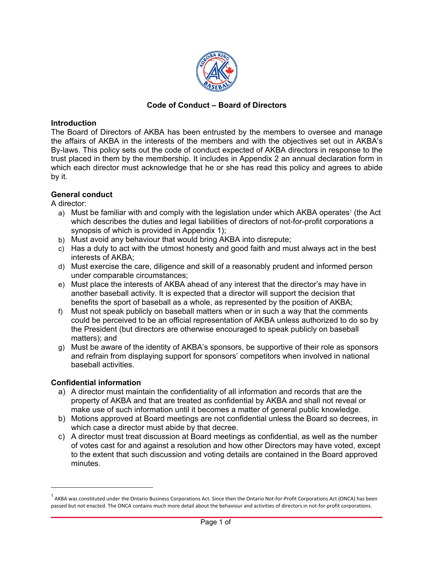

### **Code of Conduct - Board of Directors**

#### **Introduction**

The Board of Directors of AKBA has been entrusted by the members to oversee and manage the affairs of AKBA in the interests of the members and with the objectives set out in AKBA's By-laws. This policy sets out the code of conduct expected of AKBA directors in response to the trust placed in them by the membership. It includes in Appendix 2 an annual declaration form in which each director must acknowledge that he or she has read this policy and agrees to abide by it.

### **General conduct**

A director:

- a) Must be familiar with and comply with the legislation under which AKBA operates<sup>1</sup> (the Act which describes the duties and legal liabilities of directors of not-for-profit corporations a synopsis of which is provided in Appendix 1);
- b) Must avoid any behaviour that would bring AKBA into disrepute;
- c) Has a duty to act with the utmost honesty and good faith and must always act in the best interests of AKBA;
- d) Must exercise the care, diligence and skill of a reasonably prudent and informed person under comparable circumstances;
- e) Must place the interests of AKBA ahead of any interest that the director's may have in another baseball activity. It is expected that a director will support the decision that benefits the sport of baseball as a whole, as represented by the position of AKBA;
- f) Must not speak publicly on baseball matters when or in such a way that the comments could be perceived to be an official representation of AKBA unless authorized to do so by the President (but directors are otherwise encouraged to speak publicly on baseball matters); and
- g) Must be aware of the identity of AKBA's sponsors, be supportive of their role as sponsors and refrain from displaying support for sponsors' competitors when involved in national baseball activities.

### **Confidential information**

- a) A director must maintain the confidentiality of all information and records that are the property of AKBA and that are treated as confidential by AKBA and shall not reveal or make use of such information until it becomes a matter of general public knowledge.
- b) Motions approved at Board meetings are not confidential unless the Board so decrees, in which case a director must abide by that decree.
- c) A director must treat discussion at Board meetings as confidential, as well as the number of votes cast for and against a resolution and how other Directors may have voted, except to the extent that such discussion and voting details are contained in the Board approved minutes.

<sup>1&</sup>lt;br>AKBA was constituted under the Ontario Business Corporations Act. Since then the Ontario Not-for-Profit Corporations Act (ONCA) has been passed but not enacted. The ONCA contains much more detail about the behaviour and activities of directors in not-for-profit corporations.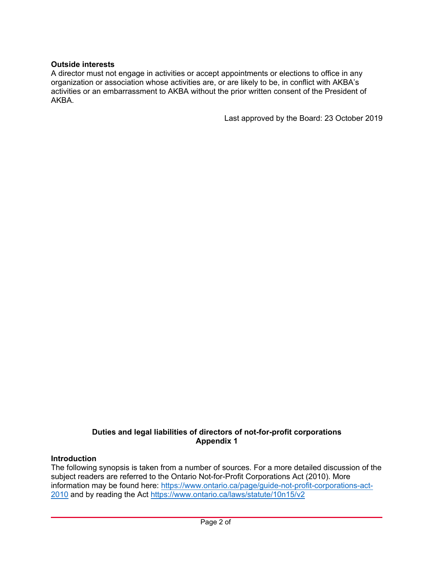### **Outside interests**

A director must not engage in activities or accept appointments or elections to office in any organization or association whose activities are, or are likely to be, in conflict with AKBA's activities or an embarrassment to AKBA without the prior written consent of the President of AKBA.

Last approved by the Board: 23 October 2019

### **Duties and legal liabilities of directors of not-for-profit corporations Appendix 1**

### **Introduction**

The following synopsis is taken from a number of sources. For a more detailed discussion of the subject readers are referred to the Ontario Not-for-Profit Corporations Act (2010). More information may be found here: https://www.ontario.ca/page/guide-not-profit-corporations-act-[2010](https://www.ontario.ca/page/guide-not-profit-corporations-act-2010) and by reading the Act https://www.ontario.ca/laws/statute/10n15/v2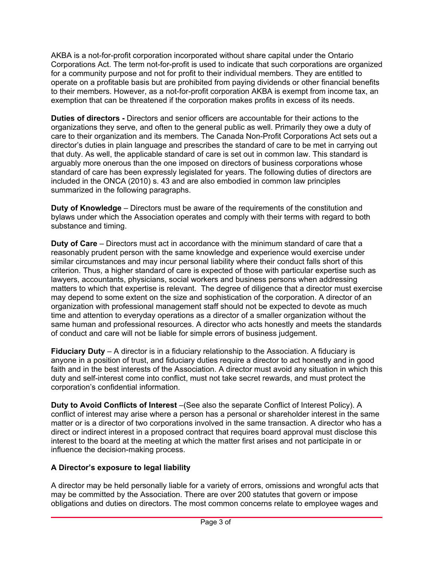AKBA is a not-for-profit corporation incorporated without share capital under the Ontario Corporations Act. The term not-for-profit is used to indicate that such corporations are organized for a community purpose and not for profit to their individual members. They are entitled to operate on a profitable basis but are prohibited from paying dividends or other financial benefits to their members. However, as a not-for-profit corporation AKBA is exempt from income tax. an exemption that can be threatened if the corporation makes profits in excess of its needs.

**Duties of directors -** Directors and senior officers are accountable for their actions to the organizations they serve, and often to the general public as well. Primarily they owe a duty of care to their organization and its members. The Canada Non-Profit Corporations Act sets out a director's duties in plain language and prescribes the standard of care to be met in carrying out that duty. As well, the applicable standard of care is set out in common law. This standard is arguably more onerous than the one imposed on directors of business corporations whose standard of care has been expressly legislated for years. The following duties of directors are included in the ONCA (2010) s. 43 and are also embodied in common law principles summarized in the following paragraphs.

**Duty of Knowledge** – Directors must be aware of the requirements of the constitution and bylaws under which the Association operates and comply with their terms with regard to both substance and timing.

**Duty of Care** – Directors must act in accordance with the minimum standard of care that a reasonably prudent person with the same knowledge and experience would exercise under similar circumstances and may incur personal liability where their conduct falls short of this criterion. Thus, a higher standard of care is expected of those with particular expertise such as lawyers, accountants, physicians, social workers and business persons when addressing matters to which that expertise is relevant. The degree of diligence that a director must exercise may depend to some extent on the size and sophistication of the corporation. A director of an organization with professional management staff should not be expected to devote as much time and attention to everyday operations as a director of a smaller organization without the same human and professional resources. A director who acts honestly and meets the standards of conduct and care will not be liable for simple errors of business judgement.

**Fiduciary Duty** - A director is in a fiduciary relationship to the Association. A fiduciary is anyone in a position of trust, and fiduciary duties require a director to act honestly and in good faith and in the best interests of the Association. A director must avoid any situation in which this duty and self-interest come into conflict, must not take secret rewards, and must protect the corporation's confidential information.

**Duty to Avoid Conflicts of Interest**  $-(\text{See also the separate Conflict of Interest Policy})$ . A conflict of interest may arise where a person has a personal or shareholder interest in the same matter or is a director of two corporations involved in the same transaction. A director who has a direct or indirect interest in a proposed contract that requires board approval must disclose this interest to the board at the meeting at which the matter first arises and not participate in or influence the decision-making process.

# A Director's exposure to legal liability

A director may be held personally liable for a variety of errors, omissions and wrongful acts that may be committed by the Association. There are over 200 statutes that govern or impose obligations and duties on directors. The most common concerns relate to employee wages and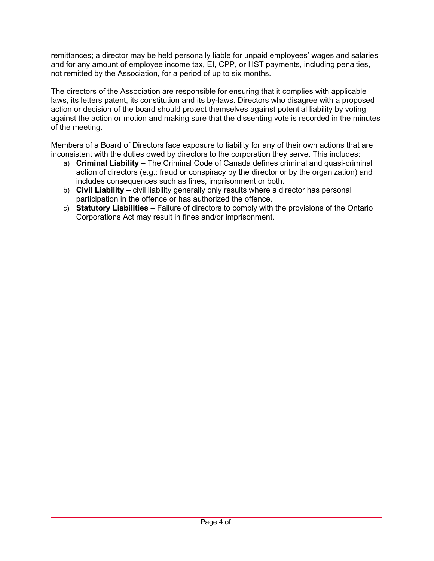remittances; a director may be held personally liable for unpaid employees' wages and salaries and for any amount of employee income tax, EI, CPP, or HST payments, including penalties, not remitted by the Association, for a period of up to six months.

The directors of the Association are responsible for ensuring that it complies with applicable laws, its letters patent, its constitution and its by-laws. Directors who disagree with a proposed action or decision of the board should protect themselves against potential liability by voting against the action or motion and making sure that the dissenting vote is recorded in the minutes of the meeting.

Members of a Board of Directors face exposure to liability for any of their own actions that are inconsistent with the duties owed by directors to the corporation they serve. This includes:

- a) Criminal Liability The Criminal Code of Canada defines criminal and quasi-criminal action of directors (e.g.: fraud or conspiracy by the director or by the organization) and includes consequences such as fines, imprisonment or both.
- b) Civil Liability civil liability generally only results where a director has personal participation in the offence or has authorized the offence.
- c) Statutory Liabilities Failure of directors to comply with the provisions of the Ontario Corporations Act may result in fines and/or imprisonment.